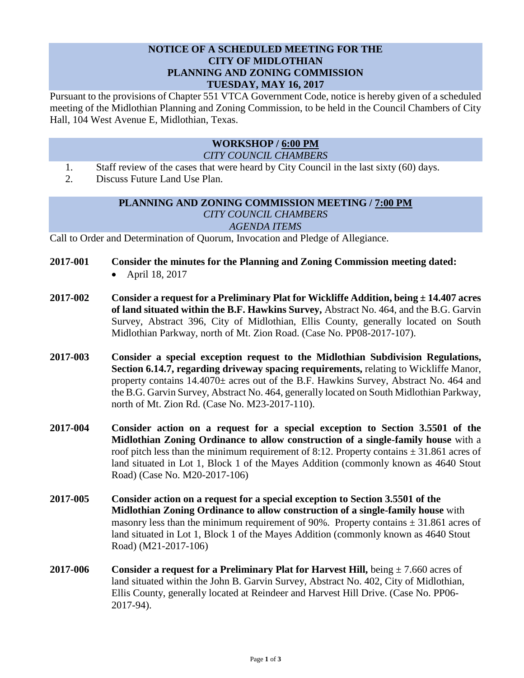## **NOTICE OF A SCHEDULED MEETING FOR THE CITY OF MIDLOTHIAN PLANNING AND ZONING COMMISSION TUESDAY, MAY 16, 2017**

Pursuant to the provisions of Chapter 551 VTCA Government Code, notice is hereby given of a scheduled meeting of the Midlothian Planning and Zoning Commission, to be held in the Council Chambers of City Hall, 104 West Avenue E, Midlothian, Texas.

# **WORKSHOP / 6:00 PM**

## *CITY COUNCIL CHAMBERS*

- 1. Staff review of the cases that were heard by City Council in the last sixty (60) days.
- 2. Discuss Future Land Use Plan.

### **PLANNING AND ZONING COMMISSION MEETING / 7:00 PM** *CITY COUNCIL CHAMBERS AGENDA ITEMS*

Call to Order and Determination of Quorum, Invocation and Pledge of Allegiance.

- **2017-001 Consider the minutes for the Planning and Zoning Commission meeting dated:**  April 18, 2017
- **2017-002 Consider a request for a Preliminary Plat for Wickliffe Addition, being ± 14.407 acres of land situated within the B.F. Hawkins Survey,** Abstract No. 464, and the B.G. Garvin Survey, Abstract 396, City of Midlothian, Ellis County, generally located on South Midlothian Parkway, north of Mt. Zion Road. (Case No. PP08-2017-107).
- **2017-003 Consider a special exception request to the Midlothian Subdivision Regulations, Section 6.14.7, regarding driveway spacing requirements,** relating to Wickliffe Manor, property contains 14.4070± acres out of the B.F. Hawkins Survey, Abstract No. 464 and the B.G. Garvin Survey, Abstract No. 464, generally located on South Midlothian Parkway, north of Mt. Zion Rd. (Case No. M23-2017-110).
- **2017-004 Consider action on a request for a special exception to Section 3.5501 of the Midlothian Zoning Ordinance to allow construction of a single-family house** with a roof pitch less than the minimum requirement of 8:12. Property contains  $\pm$  31.861 acres of land situated in Lot 1, Block 1 of the Mayes Addition (commonly known as 4640 Stout Road) (Case No. M20-2017-106)
- **2017-005 Consider action on a request for a special exception to Section 3.5501 of the Midlothian Zoning Ordinance to allow construction of a single-family house** with masonry less than the minimum requirement of 90%. Property contains  $\pm$  31.861 acres of land situated in Lot 1, Block 1 of the Mayes Addition (commonly known as 4640 Stout Road) (M21-2017-106)
- **2017-006 Consider a request for a Preliminary Plat for Harvest Hill,** being ± 7.660 acres of land situated within the John B. Garvin Survey, Abstract No. 402, City of Midlothian, Ellis County, generally located at Reindeer and Harvest Hill Drive. (Case No. PP06- 2017-94).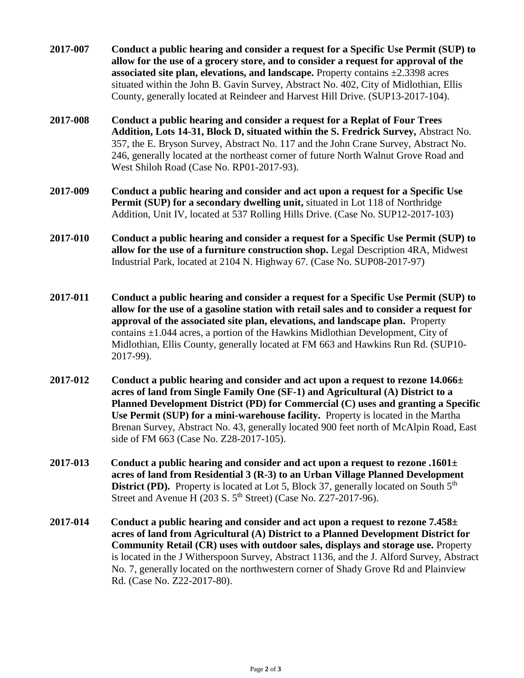- **2017-007 Conduct a public hearing and consider a request for a Specific Use Permit (SUP) to allow for the use of a grocery store, and to consider a request for approval of the associated site plan, elevations, and landscape.** Property contains ±2.3398 acres situated within the John B. Gavin Survey, Abstract No. 402, City of Midlothian, Ellis County, generally located at Reindeer and Harvest Hill Drive. (SUP13-2017-104).
- **2017-008 Conduct a public hearing and consider a request for a Replat of Four Trees Addition, Lots 14-31, Block D, situated within the S. Fredrick Survey,** Abstract No. 357, the E. Bryson Survey, Abstract No. 117 and the John Crane Survey, Abstract No. 246, generally located at the northeast corner of future North Walnut Grove Road and West Shiloh Road (Case No. RP01-2017-93).
- **2017-009 Conduct a public hearing and consider and act upon a request for a Specific Use Permit (SUP) for a secondary dwelling unit,** situated in Lot 118 of Northridge Addition, Unit IV, located at 537 Rolling Hills Drive. (Case No. SUP12-2017-103)
- **2017-010 Conduct a public hearing and consider a request for a Specific Use Permit (SUP) to allow for the use of a furniture construction shop.** Legal Description 4RA, Midwest Industrial Park, located at 2104 N. Highway 67. (Case No. SUP08-2017-97)
- **2017-011 Conduct a public hearing and consider a request for a Specific Use Permit (SUP) to allow for the use of a gasoline station with retail sales and to consider a request for approval of the associated site plan, elevations, and landscape plan.** Property contains  $\pm 1.044$  acres, a portion of the Hawkins Midlothian Development, City of Midlothian, Ellis County, generally located at FM 663 and Hawkins Run Rd. (SUP10- 2017-99).
- **2017-012 Conduct a public hearing and consider and act upon a request to rezone 14.066± acres of land from Single Family One (SF-1) and Agricultural (A) District to a Planned Development District (PD) for Commercial (C) uses and granting a Specific Use Permit (SUP) for a mini-warehouse facility.** Property is located in the Martha Brenan Survey, Abstract No. 43, generally located 900 feet north of McAlpin Road, East side of FM 663 (Case No. Z28-2017-105).
- **2017-013 Conduct a public hearing and consider and act upon a request to rezone .1601± acres of land from Residential 3 (R-3) to an Urban Village Planned Development District (PD).** Property is located at Lot 5, Block 37, generally located on South 5<sup>th</sup> Street and Avenue H (203 S. 5<sup>th</sup> Street) (Case No. Z27-2017-96).
- **2017-014 Conduct a public hearing and consider and act upon a request to rezone 7.458± acres of land from Agricultural (A) District to a Planned Development District for Community Retail (CR) uses with outdoor sales, displays and storage use.** Property is located in the J Witherspoon Survey, Abstract 1136, and the J. Alford Survey, Abstract No. 7, generally located on the northwestern corner of Shady Grove Rd and Plainview Rd. (Case No. Z22-2017-80).